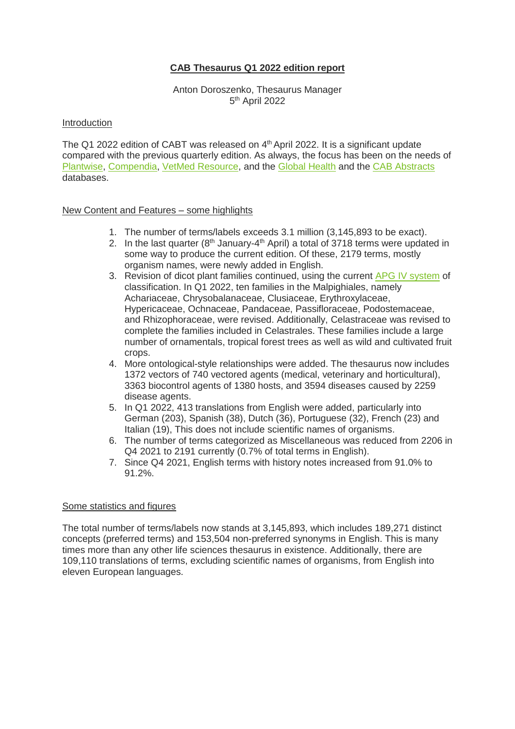# **CAB Thesaurus Q1 2022 edition report**

Anton Doroszenko, Thesaurus Manager 5<sup>th</sup> April 2022

#### Introduction

The Q1 2022 edition of CABT was released on 4<sup>th</sup> April 2022. It is a significant update compared with the previous quarterly edition. As always, the focus has been on the needs of [Plantwise,](https://www.plantwise.org/) [Compendia,](https://platform.cabi.org/publishing-products/compendia/) VetMed [Resource,](https://www.cabi.org/vetmedresource/) and the [Global Health](https://www.cabi.org/publishing-products/global-health/) and the [CAB Abstracts](https://www.cabdirect.org/) databases.

### New Content and Features – some highlights

- 1. The number of terms/labels exceeds 3.1 million (3,145,893 to be exact).
- 2. In the last quarter ( $8<sup>th</sup>$  January-4<sup>th</sup> April) a total of 3718 terms were updated in some way to produce the current edition. Of these, 2179 terms, mostly organism names, were newly added in English.
- 3. Revision of dicot plant families continued, using the current [APG IV system](https://en.wikipedia.org/wiki/APG_IV_system) of classification. In Q1 2022, ten families in the Malpighiales, namely Achariaceae, Chrysobalanaceae, Clusiaceae, Erythroxylaceae, Hypericaceae, Ochnaceae, Pandaceae, Passifloraceae, Podostemaceae, and Rhizophoraceae, were revised. Additionally, Celastraceae was revised to complete the families included in Celastrales. These families include a large number of ornamentals, tropical forest trees as well as wild and cultivated fruit crops.
- 4. More ontological-style relationships were added. The thesaurus now includes 1372 vectors of 740 vectored agents (medical, veterinary and horticultural), 3363 biocontrol agents of 1380 hosts, and 3594 diseases caused by 2259 disease agents.
- 5. In Q1 2022, 413 translations from English were added, particularly into German (203), Spanish (38), Dutch (36), Portuguese (32), French (23) and Italian (19), This does not include scientific names of organisms.
- 6. The number of terms categorized as Miscellaneous was reduced from 2206 in Q4 2021 to 2191 currently (0.7% of total terms in English).
- 7. Since Q4 2021, English terms with history notes increased from 91.0% to 91.2%.

#### Some statistics and figures

The total number of terms/labels now stands at 3,145,893, which includes 189,271 distinct concepts (preferred terms) and 153,504 non-preferred synonyms in English. This is many times more than any other life sciences thesaurus in existence. Additionally, there are 109,110 translations of terms, excluding scientific names of organisms, from English into eleven European languages.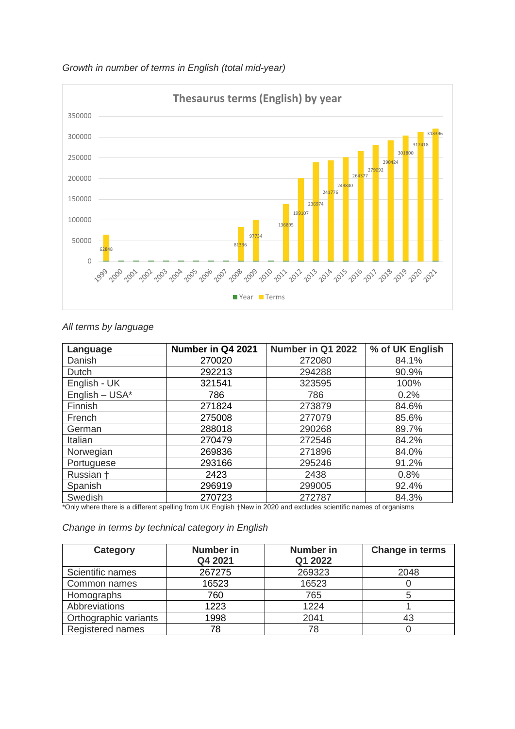



# *All terms by language*

| Language         | Number in Q4 2021 | Number in Q1 2022 | % of UK English |
|------------------|-------------------|-------------------|-----------------|
| Danish           | 270020            | 272080            | 84.1%           |
| Dutch            | 292213            | 294288            | 90.9%           |
| English - UK     | 321541            | 323595            | 100%            |
| English $-$ USA* | 786               | 786               | 0.2%            |
| Finnish          | 271824            | 273879            | 84.6%           |
| French           | 275008            | 277079            | 85.6%           |
| German           | 288018            | 290268            | 89.7%           |
| Italian          | 270479            | 272546            | 84.2%           |
| Norwegian        | 269836            | 271896            | 84.0%           |
| Portuguese       | 293166            | 295246            | 91.2%           |
| Russian +        | 2423              | 2438              | 0.8%            |
| Spanish          | 296919            | 299005            | 92.4%           |
| Swedish          | 270723            | 272787            | 84.3%           |

\*Only where there is a different spelling from UK English †New in 2020 and excludes scientific names of organisms

| Change in terms by technical category in English |  |  |  |
|--------------------------------------------------|--|--|--|
|--------------------------------------------------|--|--|--|

| Category              | <b>Number in</b><br>Q4 2021 | <b>Number</b> in<br>Q1 2022 | <b>Change in terms</b> |
|-----------------------|-----------------------------|-----------------------------|------------------------|
| Scientific names      | 267275                      | 269323                      | 2048                   |
| Common names          | 16523                       | 16523                       |                        |
| Homographs            | 760                         | 765                         |                        |
| Abbreviations         | 1223                        | 1224                        |                        |
| Orthographic variants | 1998                        | 2041                        | 43                     |
| Registered names      | 78                          | 78                          |                        |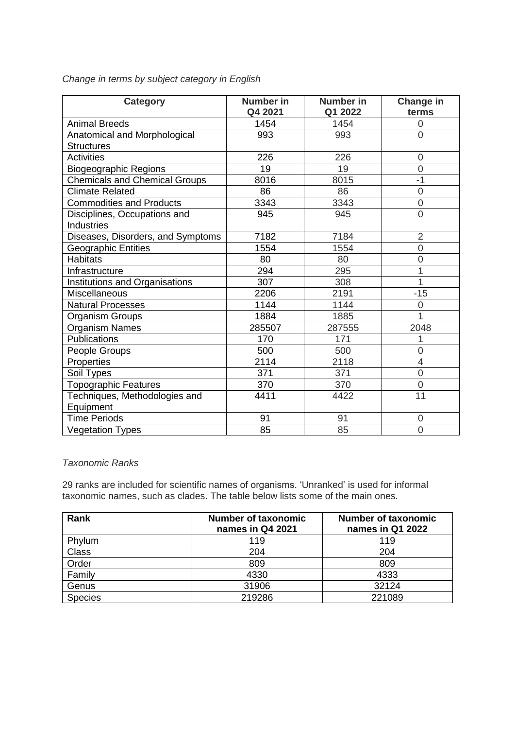| <b>Category</b>                                   | <b>Number in</b><br>Q4 2021 | Number in<br>Q1 2022 | Change in<br>terms |
|---------------------------------------------------|-----------------------------|----------------------|--------------------|
| <b>Animal Breeds</b>                              | 1454                        | 1454                 | 0                  |
| Anatomical and Morphological                      | 993                         | 993                  | $\overline{0}$     |
| <b>Structures</b>                                 |                             |                      |                    |
| <b>Activities</b>                                 | 226                         | 226                  | 0                  |
| <b>Biogeographic Regions</b>                      | 19                          | 19                   | $\overline{0}$     |
| <b>Chemicals and Chemical Groups</b>              | 8016                        | 8015                 | $-1$               |
| <b>Climate Related</b>                            | 86                          | 86                   | $\overline{0}$     |
| <b>Commodities and Products</b>                   | 3343                        | 3343                 | $\overline{0}$     |
| Disciplines, Occupations and<br><b>Industries</b> | 945                         | 945                  | $\overline{0}$     |
| Diseases, Disorders, and Symptoms                 | 7182                        | 7184                 | $\overline{2}$     |
| <b>Geographic Entities</b>                        | 1554                        | 1554                 | $\overline{0}$     |
| <b>Habitats</b>                                   | 80                          | 80                   | 0                  |
| Infrastructure                                    | 294                         | 295                  | 1                  |
| Institutions and Organisations                    | 307                         | 308                  | 1                  |
| Miscellaneous                                     | 2206                        | 2191                 | $-15$              |
| <b>Natural Processes</b>                          | 1144                        | 1144                 | 0                  |
| Organism Groups                                   | 1884                        | 1885                 | 1                  |
| Organism Names                                    | 285507                      | 287555               | 2048               |
| Publications                                      | 170                         | 171                  | 1                  |
| People Groups                                     | 500                         | 500                  | 0                  |
| Properties                                        | 2114                        | 2118                 | 4                  |
| Soil Types                                        | 371                         | 371                  | $\overline{0}$     |
| Topographic Features                              | 370                         | 370                  | $\overline{0}$     |
| Techniques, Methodologies and                     | 4411                        | 4422                 | 11                 |
| Equipment                                         |                             |                      |                    |
| <b>Time Periods</b>                               | 91                          | 91                   | 0                  |
| <b>Vegetation Types</b>                           | 85                          | 85                   | 0                  |

*Change in terms by subject category in English*

## *Taxonomic Ranks*

29 ranks are included for scientific names of organisms. 'Unranked' is used for informal taxonomic names, such as clades. The table below lists some of the main ones.

| Rank           | <b>Number of taxonomic</b><br>names in Q4 2021 | <b>Number of taxonomic</b><br>names in Q1 2022 |
|----------------|------------------------------------------------|------------------------------------------------|
| Phylum         | 119                                            | 119                                            |
| <b>Class</b>   | 204                                            | 204                                            |
| Order          | 809                                            | 809                                            |
| Family         | 4330                                           | 4333                                           |
| Genus          | 31906                                          | 32124                                          |
| <b>Species</b> | 219286                                         | 221089                                         |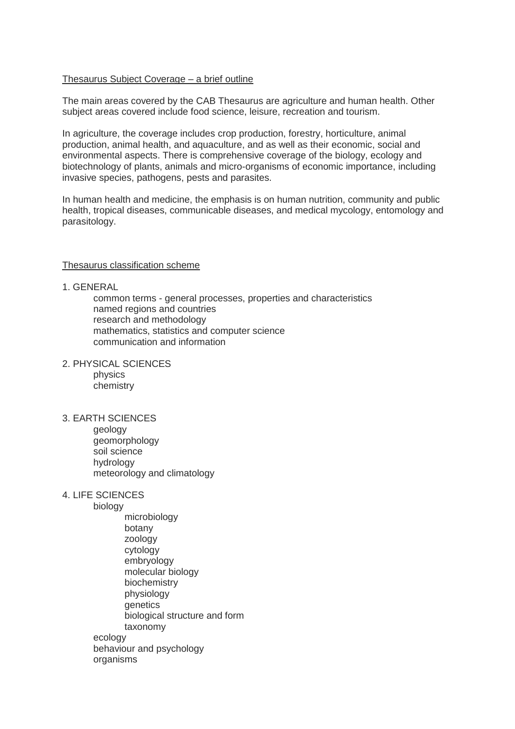## Thesaurus Subject Coverage – a brief outline

The main areas covered by the CAB Thesaurus are agriculture and human health. Other subject areas covered include food science, leisure, recreation and tourism.

In agriculture, the coverage includes crop production, forestry, horticulture, animal production, animal health, and aquaculture, and as well as their economic, social and environmental aspects. There is comprehensive coverage of the biology, ecology and biotechnology of plants, animals and micro-organisms of economic importance, including invasive species, pathogens, pests and parasites.

In human health and medicine, the emphasis is on human nutrition, community and public health, tropical diseases, communicable diseases, and medical mycology, entomology and parasitology.

### Thesaurus classification scheme

### 1. GENERAL

common terms - general processes, properties and characteristics named regions and countries research and methodology mathematics, statistics and computer science communication and information

2. PHYSICAL SCIENCES physics chemistry

## 3. EARTH SCIENCES

geology geomorphology soil science hydrology meteorology and climatology

#### 4. LIFE SCIENCES

biology

microbiology botany zoology cytology embryology molecular biology biochemistry physiology **genetics** biological structure and form taxonomy ecology behaviour and psychology

organisms